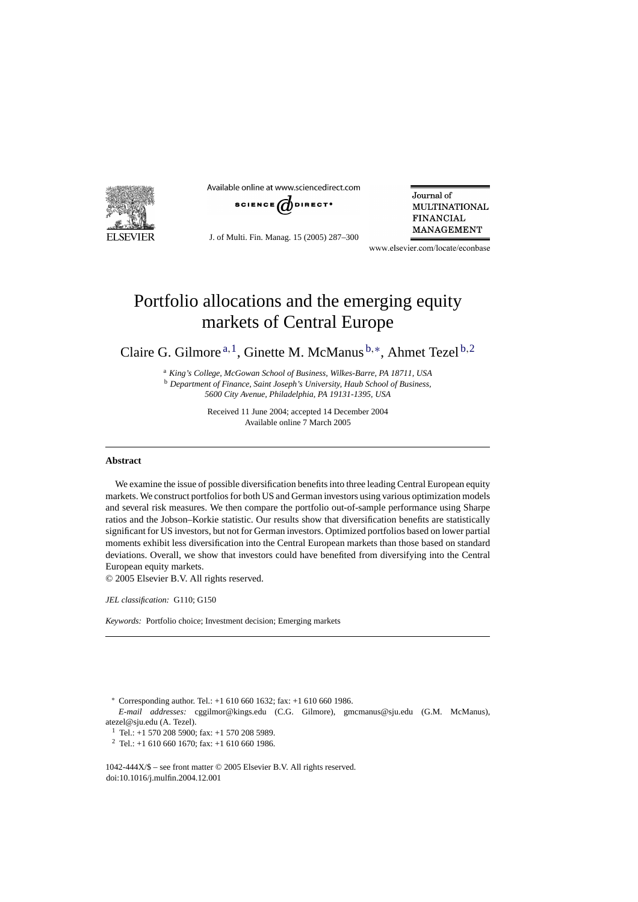

Available online at www.sciencedirect.com



J. of Multi. Fin. Manag. 15 (2005) 287–300

Journal of **MULTINATIONAL FINANCIAL MANAGEMENT** 

www.elsevier.com/locate/econbase

## Portfolio allocations and the emerging equity markets of Central Europe

Claire G. Gilmore  $a, 1$ , Ginette M. McManus  $b, *$ , Ahmet Tezel  $b, 2$ 

<sup>a</sup> *King's College, McGowan School of Business, Wilkes-Barre, PA 18711, USA* <sup>b</sup> *Department of Finance, Saint Joseph's University, Haub School of Business, 5600 City Avenue, Philadelphia, PA 19131-1395, USA*

> Received 11 June 2004; accepted 14 December 2004 Available online 7 March 2005

## **Abstract**

We examine the issue of possible diversification benefits into three leading Central European equity markets. We construct portfolios for both US and German investors using various optimization models and several risk measures. We then compare the portfolio out-of-sample performance using Sharpe ratios and the Jobson–Korkie statistic. Our results show that diversification benefits are statistically significant for US investors, but not for German investors. Optimized portfolios based on lower partial moments exhibit less diversification into the Central European markets than those based on standard deviations. Overall, we show that investors could have benefited from diversifying into the Central European equity markets.

© 2005 Elsevier B.V. All rights reserved.

*JEL classification:* G110; G150

*Keywords:* Portfolio choice; Investment decision; Emerging markets

∗ Corresponding author. Tel.: +1 610 660 1632; fax: +1 610 660 1986.

*E-mail addresses:* cggilmor@kings.edu (C.G. Gilmore), gmcmanus@sju.edu (G.M. McManus), atezel@sju.edu (A. Tezel).

<sup>1</sup> Tel.: +1 570 208 5900; fax: +1 570 208 5989.

<sup>2</sup> Tel.: +1 610 660 1670: fax: +1 610 660 1986.

1042-444X/\$ – see front matter © 2005 Elsevier B.V. All rights reserved. doi:10.1016/j.mulfin.2004.12.001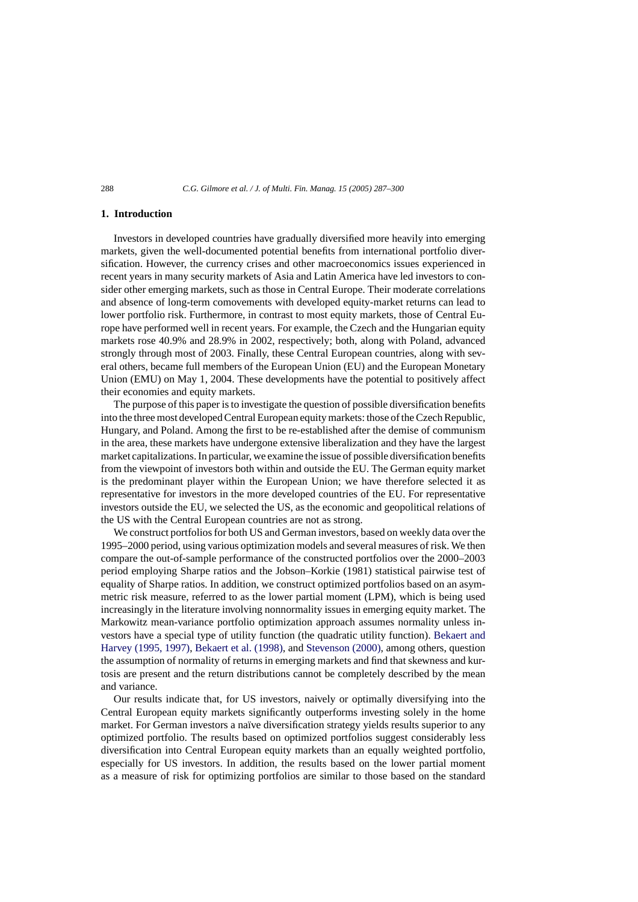## **1. Introduction**

Investors in developed countries have gradually diversified more heavily into emerging markets, given the well-documented potential benefits from international portfolio diversification. However, the currency crises and other macroeconomics issues experienced in recent years in many security markets of Asia and Latin America have led investors to consider other emerging markets, such as those in Central Europe. Their moderate correlations and absence of long-term comovements with developed equity-market returns can lead to lower portfolio risk. Furthermore, in contrast to most equity markets, those of Central Europe have performed well in recent years. For example, the Czech and the Hungarian equity markets rose 40.9% and 28.9% in 2002, respectively; both, along with Poland, advanced strongly through most of 2003. Finally, these Central European countries, along with several others, became full members of the European Union (EU) and the European Monetary Union (EMU) on May 1, 2004. These developments have the potential to positively affect their economies and equity markets.

The purpose of this paper is to investigate the question of possible diversification benefits into the three most developed Central European equity markets: those of the Czech Republic, Hungary, and Poland. Among the first to be re-established after the demise of communism in the area, these markets have undergone extensive liberalization and they have the largest market capitalizations. In particular, we examine the issue of possible diversification benefits from the viewpoint of investors both within and outside the EU. The German equity market is the predominant player within the European Union; we have therefore selected it as representative for investors in the more developed countries of the EU. For representative investors outside the EU, we selected the US, as the economic and geopolitical relations of the US with the Central European countries are not as strong.

We construct portfolios for both US and German investors, based on weekly data over the 1995–2000 period, using various optimization models and several measures of risk. We then compare the out-of-sample performance of the constructed portfolios over the 2000–2003 period employing Sharpe ratios and the Jobson–Korkie (1981) statistical pairwise test of equality of Sharpe ratios. In addition, we construct optimized portfolios based on an asymmetric risk measure, referred to as the lower partial moment (LPM), which is being used increasingly in the literature involving nonnormality issues in emerging equity market. The Markowitz mean-variance portfolio optimization approach assumes normality unless investors have a special type of utility function (the quadratic utility function). [Bekaert and](#page--1-0) [Harvey \(1995, 1997\),](#page--1-0) [Bekaert et al. \(1998\), a](#page--1-0)nd [Stevenson \(2000\),](#page--1-0) among others, question the assumption of normality of returns in emerging markets and find that skewness and kurtosis are present and the return distributions cannot be completely described by the mean and variance.

Our results indicate that, for US investors, naively or optimally diversifying into the Central European equity markets significantly outperforms investing solely in the home market. For German investors a naïve diversification strategy yields results superior to any optimized portfolio. The results based on optimized portfolios suggest considerably less diversification into Central European equity markets than an equally weighted portfolio, especially for US investors. In addition, the results based on the lower partial moment as a measure of risk for optimizing portfolios are similar to those based on the standard